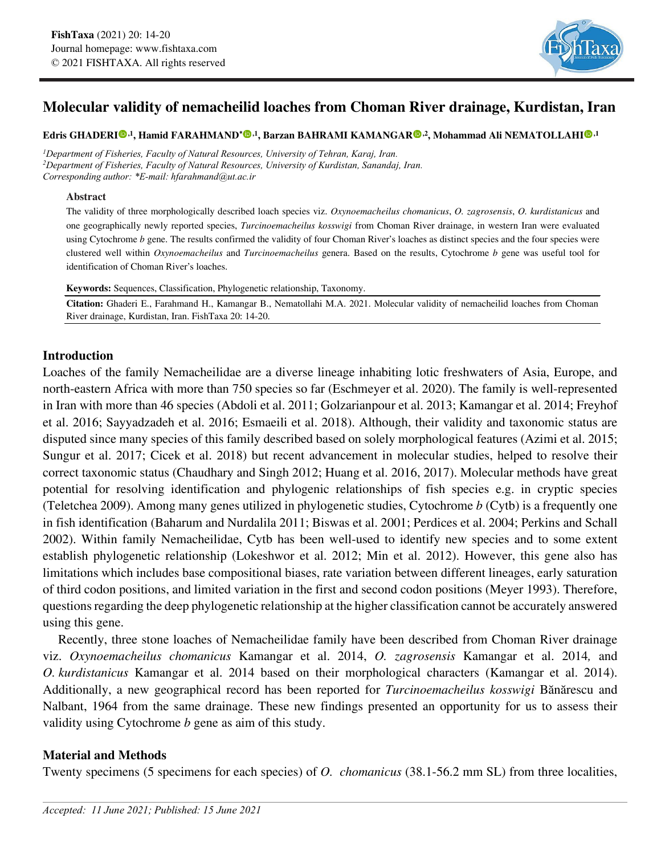

# **Molecular validity of nemacheilid loaches from Choman River drainage, Kurdistan, Iran**

**Edris GHADER[I](https://orcid.org/0000-0002-9875-7735) ,1, Hamid FARAHMAND\* [,](https://orcid.org/0000-0002-0263-132X)1, Barzan BAHRAMI KAMANGA[R](https://orcid.org/0000-0003-0432-5665) ,2, Mohammad Ali NEMATOLLAHI ,1**

*1Department of Fisheries, Faculty of Natural Resources, University of Tehran, Karaj, Iran. 2Department of Fisheries, Faculty of Natural Resources, University of Kurdistan, Sanandaj, Iran. Corresponding author: \*E-mail: hfarahmand@ut.ac.ir*

#### **Abstract**

The validity of three morphologically described loach species viz. *Oxynoemacheilus chomanicus*, *O. zagrosensis*, *O. kurdistanicus* and one geographically newly reported species, *Turcinoemacheilus kosswigi* from Choman River drainage, in western Iran were evaluated using Cytochrome *b* gene. The results confirmed the validity of four Choman River's loaches as distinct species and the four species were clustered well within *Oxynoemacheilus* and *Turcinoemacheilus* genera. Based on the results, Cytochrome *b* gene was useful tool for identification of Choman River's loaches.

**Keywords:** Sequences, Classification, Phylogenetic relationship, Taxonomy.

**Citation:** Ghaderi E., Farahmand H., Kamangar B., Nematollahi M.A. 2021. Molecular validity of nemacheilid loaches from Choman River drainage, Kurdistan, Iran. FishTaxa 20: 14-20.

# **Introduction**

Loaches of the family Nemacheilidae are a diverse lineage inhabiting lotic freshwaters of Asia, Europe, and north-eastern Africa with more than 750 species so far (Eschmeyer et al. 2020). The family is well-represented in Iran with more than 46 species (Abdoli et al. 2011; Golzarianpour et al. 2013; Kamangar et al. 2014; Freyhof et al. 2016; Sayyadzadeh et al. 2016; Esmaeili et al. 2018). Although, their validity and taxonomic status are disputed since many species of this family described based on solely morphological features (Azimi et al. 2015; Sungur et al. 2017; Cicek et al. 2018) but recent advancement in molecular studies, helped to resolve their correct taxonomic status (Chaudhary and Singh 2012; Huang et al. 2016, 2017). Molecular methods have great potential for resolving identification and phylogenic relationships of fish species e.g. in cryptic species (Teletchea 2009). Among many genes utilized in phylogenetic studies, Cytochrome *b* (Cytb) is a frequently one in fish identification (Baharum and Nurdalila 2011; Biswas et al. 2001; Perdices et al. 2004; Perkins and Schall 2002). Within family Nemacheilidae, Cytb has been well-used to identify new species and to some extent establish phylogenetic relationship (Lokeshwor et al. 2012; Min et al. 2012). However, this gene also has limitations which includes base compositional biases, rate variation between different lineages, early saturation of third codon positions, and limited variation in the first and second codon positions (Meyer 1993). Therefore, questions regarding the deep phylogenetic relationship at the higher classification cannot be accurately answered using this gene.

Recently, three stone loaches of Nemacheilidae family have been described from Choman River drainage viz. *Oxynoemacheilus chomanicus* Kamangar et al. 2014, *O. zagrosensis* Kamangar et al. 2014*,* and *O. kurdistanicus* Kamangar et al. 2014 based on their morphological characters (Kamangar et al. 2014). Additionally, a new geographical record has been reported for *Turcinoemacheilus kosswigi* Bănărescu and Nalbant, 1964 from the same drainage. These new findings presented an opportunity for us to assess their validity using Cytochrome *b* gene as aim of this study.

# **Material and Methods**

Twenty specimens (5 specimens for each species) of *O. chomanicus* (38.1-56.2 mm SL) from three localities,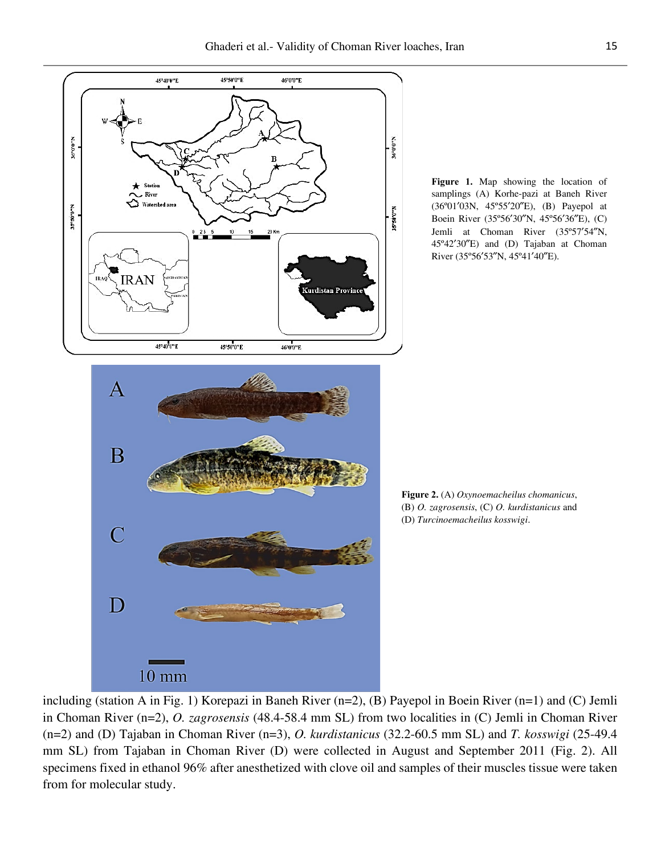

**Figure 1.** Map showing the location of samplings (A) Korhe-pazi at Baneh River (36°01'03N, 45°55'20"E), (B) Payepol at Boein River (35°56'30"N, 45°56'36"E), (C) Jemli at Choman River (35°57'54"N, 45º42ʹ30ʺE) and (D) Tajaban at Choman River (35°56'53"N, 45°41'40"E).

**Figure 2.** (A) *Oxynoemacheilus chomanicus*, (B) *O. zagrosensis*, (C) *O. kurdistanicus* and (D) *Turcinoemacheilus kosswigi*.

including (station A in Fig. 1) Korepazi in Baneh River (n=2), (B) Payepol in Boein River (n=1) and (C) Jemli in Choman River (n=2), *O. zagrosensis* (48.4-58.4 mm SL) from two localities in (C) Jemli in Choman River (n=2) and (D) Tajaban in Choman River (n=3), *O. kurdistanicus* (32.2-60.5 mm SL) and *T. kosswigi* (25-49.4 mm SL) from Tajaban in Choman River (D) were collected in August and September 2011 (Fig. 2). All specimens fixed in ethanol 96% after anesthetized with clove oil and samples of their muscles tissue were taken from for molecular study.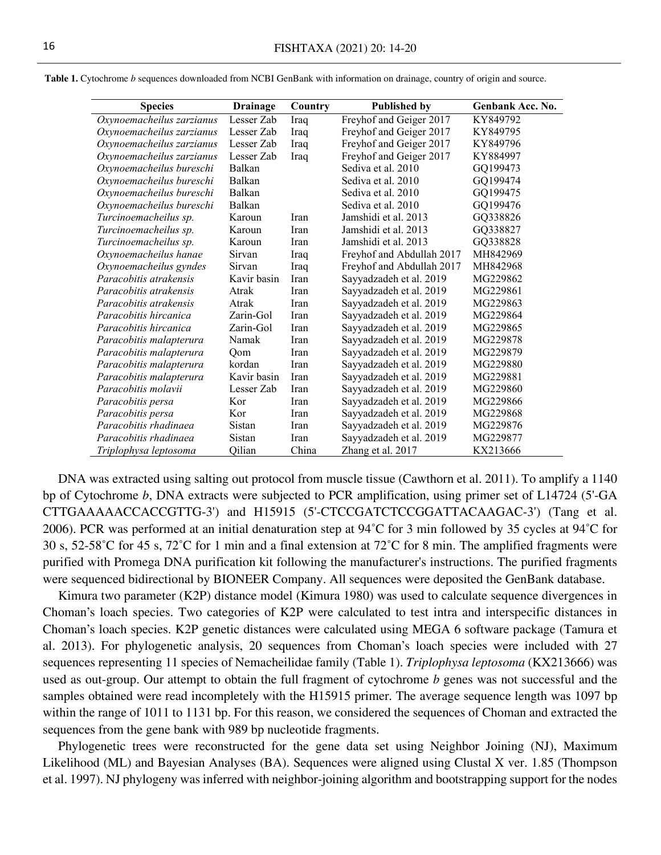| <b>Species</b>            | <b>Drainage</b> | Country     | <b>Published by</b>       | Genbank Acc. No. |
|---------------------------|-----------------|-------------|---------------------------|------------------|
| Oxynoemacheilus zarzianus | Lesser Zab      | Iraq        | Freyhof and Geiger 2017   | KY849792         |
| Oxynoemacheilus zarzianus | Lesser Zab      | Iraq        | Freyhof and Geiger 2017   | KY849795         |
| Oxynoemacheilus zarzianus | Lesser Zab      | Iraq        | Freyhof and Geiger 2017   | KY849796         |
| Oxynoemacheilus zarzianus | Lesser Zab      | Iraq        | Freyhof and Geiger 2017   | KY884997         |
| Oxynoemacheilus bureschi  | Balkan          |             | Sediva et al. 2010        | GQ199473         |
| Oxynoemacheilus bureschi  | Balkan          |             | Sediva et al. 2010        | GQ199474         |
| Oxynoemacheilus bureschi  | Balkan          |             | Sediva et al. 2010        | GQ199475         |
| Oxynoemacheilus bureschi  | Balkan          |             | Sediva et al. 2010        | GQ199476         |
| Turcinoemacheilus sp.     | Karoun          | <b>Iran</b> | Jamshidi et al. 2013      | GQ338826         |
| Turcinoemacheilus sp.     | Karoun          | <b>Iran</b> | Jamshidi et al. 2013      | GQ338827         |
| Turcinoemacheilus sp.     | Karoun          | Iran        | Jamshidi et al. 2013      | GQ338828         |
| Oxynoemacheilus hanae     | Sirvan          | Iraq        | Freyhof and Abdullah 2017 | MH842969         |
| Oxynoemacheilus gyndes    | Sirvan          | Iraq        | Freyhof and Abdullah 2017 | MH842968         |
| Paracobitis atrakensis    | Kavir basin     | Iran        | Sayyadzadeh et al. 2019   | MG229862         |
| Paracobitis atrakensis    | Atrak           | Iran        | Sayyadzadeh et al. 2019   | MG229861         |
| Paracobitis atrakensis    | Atrak           | <b>Iran</b> | Sayyadzadeh et al. 2019   | MG229863         |
| Paracobitis hircanica     | Zarin-Gol       | <b>Iran</b> | Sayyadzadeh et al. 2019   | MG229864         |
| Paracobitis hircanica     | Zarin-Gol       | Iran        | Sayyadzadeh et al. 2019   | MG229865         |
| Paracobitis malapterura   | Namak           | Iran        | Sayyadzadeh et al. 2019   | MG229878         |
| Paracobitis malapterura   | Oom             | Iran        | Sayyadzadeh et al. 2019   | MG229879         |
| Paracobitis malapterura   | kordan          | Iran        | Sayyadzadeh et al. 2019   | MG229880         |
| Paracobitis malapterura   | Kavir basin     | Iran        | Sayyadzadeh et al. 2019   | MG229881         |
| Paracobitis molavii       | Lesser Zab      | <b>Iran</b> | Sayyadzadeh et al. 2019   | MG229860         |
| Paracobitis persa         | Kor             | Iran        | Sayyadzadeh et al. 2019   | MG229866         |
| Paracobitis persa         | Kor             | Iran        | Sayyadzadeh et al. 2019   | MG229868         |
| Paracobitis rhadinaea     | Sistan          | Iran        | Sayyadzadeh et al. 2019   | MG229876         |
| Paracobitis rhadinaea     | Sistan          | Iran        | Sayyadzadeh et al. 2019   | MG229877         |
| Triplophysa leptosoma     | Qilian          | China       | Zhang et al. 2017         | KX213666         |

**Table 1.** Cytochrome *b* sequences downloaded from NCBI GenBank with information on drainage, country of origin and source.

DNA was extracted using salting out protocol from muscle tissue (Cawthorn et al. 2011). To amplify a 1140 bp of Cytochrome *b*, DNA extracts were subjected to PCR amplification, using primer set of L14724 (5'-GA CTTGAAAAACCACCGTTG-3') and H15915 (5'-CTCCGATCTCCGGATTACAAGAC-3') (Tang et al. 2006). PCR was performed at an initial denaturation step at 94˚C for 3 min followed by 35 cycles at 94˚C for 30 s, 52-58˚C for 45 s, 72˚C for 1 min and a final extension at 72˚C for 8 min. The amplified fragments were purified with Promega DNA purification kit following the manufacturer's instructions. The purified fragments were sequenced bidirectional by BIONEER Company. All sequences were deposited the GenBank database.

Kimura two parameter (K2P) distance model (Kimura 1980) was used to calculate sequence divergences in Choman's loach species. Two categories of K2P were calculated to test intra and interspecific distances in Choman's loach species. K2P genetic distances were calculated using MEGA 6 software package (Tamura et al. 2013). For phylogenetic analysis, 20 sequences from Choman's loach species were included with 27 sequences representing 11 species of Nemacheilidae family (Table 1). *Triplophysa leptosoma* (KX213666) was used as out-group. Our attempt to obtain the full fragment of cytochrome *b* genes was not successful and the samples obtained were read incompletely with the H15915 primer. The average sequence length was 1097 bp within the range of 1011 to 1131 bp. For this reason, we considered the sequences of Choman and extracted the sequences from the gene bank with 989 bp nucleotide fragments.

Phylogenetic trees were reconstructed for the gene data set using Neighbor Joining (NJ), Maximum Likelihood (ML) and Bayesian Analyses (BA). Sequences were aligned using Clustal X ver. 1.85 (Thompson et al. 1997). NJ phylogeny was inferred with neighbor-joining algorithm and bootstrapping support for the nodes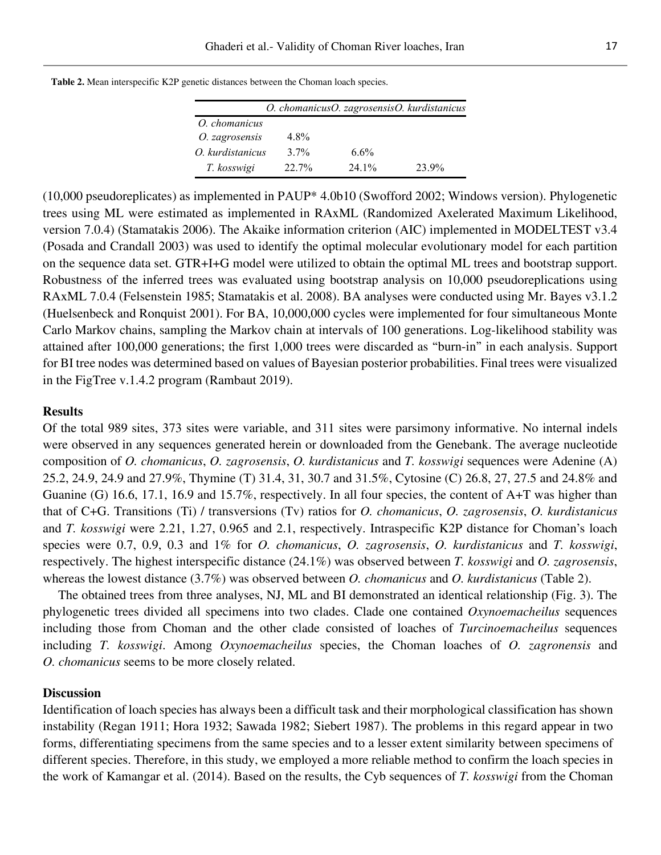|                  |         | O. chomanicusO. zagrosensisO. kurdistanicus |       |
|------------------|---------|---------------------------------------------|-------|
| O. chomanicus    |         |                                             |       |
| O. zagrosensis   | 4.8%    |                                             |       |
| O. kurdistanicus | $3.7\%$ | $6.6\%$                                     |       |
| T. kosswigi      | 22.7%   | 24.1%                                       | 23.9% |

**Table 2.** Mean interspecific K2P genetic distances between the Choman loach species.

(10,000 pseudoreplicates) as implemented in PAUP\* 4.0b10 (Swofford 2002; Windows version). Phylogenetic trees using ML were estimated as implemented in RAxML (Randomized Axelerated Maximum Likelihood, version 7.0.4) (Stamatakis 2006). The Akaike information criterion (AIC) implemented in MODELTEST v3.4 (Posada and Crandall 2003) was used to identify the optimal molecular evolutionary model for each partition on the sequence data set. GTR+I+G model were utilized to obtain the optimal ML trees and bootstrap support. Robustness of the inferred trees was evaluated using bootstrap analysis on 10,000 pseudoreplications using RAxML 7.0.4 (Felsenstein 1985; Stamatakis et al. 2008). BA analyses were conducted using Mr. Bayes v3.1.2 (Huelsenbeck and Ronquist 2001). For BA, 10,000,000 cycles were implemented for four simultaneous Monte Carlo Markov chains, sampling the Markov chain at intervals of 100 generations. Log-likelihood stability was attained after 100,000 generations; the first 1,000 trees were discarded as "burn-in" in each analysis. Support for BI tree nodes was determined based on values of Bayesian posterior probabilities. Final trees were visualized in the FigTree v.1.4.2 program (Rambaut 2019).

### **Results**

Of the total 989 sites, 373 sites were variable, and 311 sites were parsimony informative. No internal indels were observed in any sequences generated herein or downloaded from the Genebank. The average nucleotide composition of *O. chomanicus*, *O. zagrosensis*, *O. kurdistanicus* and *T. kosswigi* sequences were Adenine (A) 25.2, 24.9, 24.9 and 27.9%, Thymine (T) 31.4, 31, 30.7 and 31.5%, Cytosine (C) 26.8, 27, 27.5 and 24.8% and Guanine (G) 16.6, 17.1, 16.9 and 15.7%, respectively. In all four species, the content of A+T was higher than that of C+G. Transitions (Ti) / transversions (Tv) ratios for *O. chomanicus*, *O. zagrosensis*, *O. kurdistanicus* and *T. kosswigi* were 2.21, 1.27, 0.965 and 2.1, respectively. Intraspecific K2P distance for Choman's loach species were 0.7, 0.9, 0.3 and 1% for *O. chomanicus*, *O. zagrosensis*, *O. kurdistanicus* and *T. kosswigi*, respectively. The highest interspecific distance (24.1%) was observed between *T. kosswigi* and *O. zagrosensis*, whereas the lowest distance (3.7%) was observed between *O. chomanicus* and *O. kurdistanicus* (Table 2).

The obtained trees from three analyses, NJ, ML and BI demonstrated an identical relationship (Fig. 3). The phylogenetic trees divided all specimens into two clades. Clade one contained *Oxynoemacheilus* sequences including those from Choman and the other clade consisted of loaches of *Turcinoemacheilus* sequences including *T. kosswigi*. Among *Oxynoemacheilus* species, the Choman loaches of *O. zagronensis* and *O. chomanicus* seems to be more closely related.

#### **Discussion**

Identification of loach species has always been a difficult task and their morphological classification has shown instability (Regan 1911; Hora 1932; Sawada 1982; Siebert 1987). The problems in this regard appear in two forms, differentiating specimens from the same species and to a lesser extent similarity between specimens of different species. Therefore, in this study, we employed a more reliable method to confirm the loach species in the work of Kamangar et al. (2014). Based on the results, the Cyb sequences of *T. kosswigi* from the Choman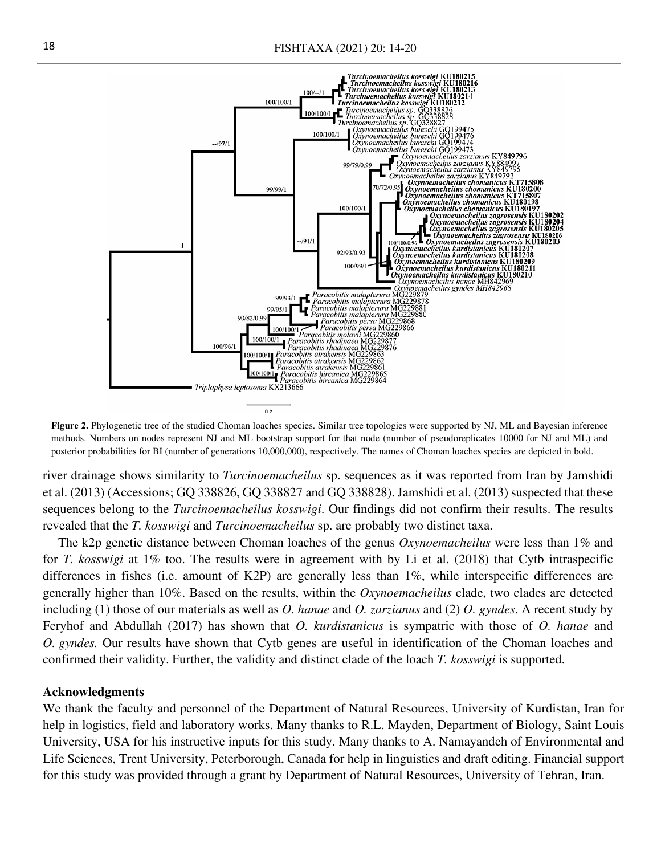

**Figure 2.** Phylogenetic tree of the studied Choman loaches species. Similar tree topologies were supported by NJ, ML and Bayesian inference methods. Numbers on nodes represent NJ and ML bootstrap support for that node (number of pseudoreplicates 10000 for NJ and ML) and posterior probabilities for BI (number of generations 10,000,000), respectively. The names of Choman loaches species are depicted in bold.

river drainage shows similarity to *Turcinoemacheilus* sp. sequences as it was reported from Iran by Jamshidi et al. (2013) (Accessions; GQ 338826, GQ 338827 and GQ 338828). Jamshidi et al. (2013) suspected that these sequences belong to the *Turcinoemacheilus kosswigi*. Our findings did not confirm their results. The results revealed that the *T. kosswigi* and *Turcinoemacheilus* sp. are probably two distinct taxa.

The k2p genetic distance between Choman loaches of the genus *Oxynoemacheilus* were less than 1% and for *T. kosswigi* at 1% too. The results were in agreement with by Li et al. (2018) that Cytb intraspecific differences in fishes (i.e. amount of K2P) are generally less than 1%, while interspecific differences are generally higher than 10%. Based on the results, within the *Oxynoemacheilus* clade, two clades are detected including (1) those of our materials as well as *O. hanae* and *O. zarzianus* and (2) *O. gyndes*. A recent study by Feryhof and Abdullah (2017) has shown that *O. kurdistanicus* is sympatric with those of *O. hanae* and *O. gyndes.* Our results have shown that Cytb genes are useful in identification of the Choman loaches and confirmed their validity. Further, the validity and distinct clade of the loach *T. kosswigi* is supported.

## **Acknowledgments**

We thank the faculty and personnel of the Department of Natural Resources, University of Kurdistan, Iran for help in logistics, field and laboratory works. Many thanks to R.L. Mayden, Department of Biology, Saint Louis University, USA for his instructive inputs for this study. Many thanks to A. Namayandeh of Environmental and Life Sciences, Trent University, Peterborough, Canada for help in linguistics and draft editing. Financial support for this study was provided through a grant by Department of Natural Resources, University of Tehran, Iran.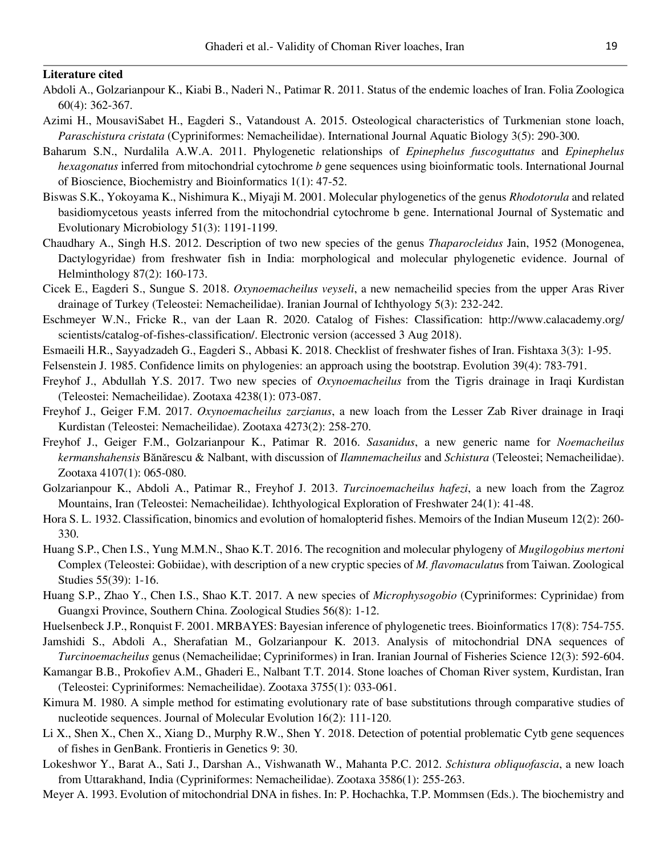#### **Literature cited**

- Abdoli A., Golzarianpour K., Kiabi B., Naderi N., Patimar R. 2011. Status of the endemic loaches of Iran. Folia Zoologica 60(4): 362-367.
- Azimi H., MousaviSabet H., Eagderi S., Vatandoust A. 2015. Osteological characteristics of Turkmenian stone loach, *Paraschistura cristata* (Cypriniformes: Nemacheilidae). International Journal Aquatic Biology 3(5): 290-300.
- Baharum S.N., Nurdalila A.W.A. 2011. Phylogenetic relationships of *Epinephelus fuscoguttatus* and *Epinephelus hexagonatus* inferred from mitochondrial cytochrome *b* gene sequences using bioinformatic tools. International Journal of Bioscience, Biochemistry and Bioinformatics 1(1): 47-52.
- Biswas S.K., Yokoyama K., Nishimura K., Miyaji M. 2001. Molecular phylogenetics of the genus *Rhodotorula* and related basidiomycetous yeasts inferred from the mitochondrial cytochrome b gene. International Journal of Systematic and Evolutionary Microbiology 51(3): 1191-1199.
- Chaudhary A., Singh H.S. 2012. Description of two new species of the genus *Thaparocleidus* Jain, 1952 (Monogenea, Dactylogyridae) from freshwater fish in India: morphological and molecular phylogenetic evidence. Journal of Helminthology 87(2): 160-173.
- Cicek E., Eagderi S., Sungue S. 2018. *Oxynoemacheilus veyseli*, a new nemacheilid species from the upper Aras River drainage of Turkey (Teleostei: Nemacheilidae). Iranian Journal of Ichthyology 5(3): 232-242.
- Eschmeyer W.N., Fricke R., van der Laan R. 2020. Catalog of Fishes: Classification: http://www.calacademy.org/ scientists/catalog-of-fishes-classification/. Electronic version (accessed 3 Aug 2018).
- Esmaeili H.R., Sayyadzadeh G., Eagderi S., Abbasi K. 2018. Checklist of freshwater fishes of Iran. Fishtaxa 3(3): 1-95.
- Felsenstein J. 1985. Confidence limits on phylogenies: an approach using the bootstrap. Evolution 39(4): 783-791.
- Freyhof J., Abdullah Y.S. 2017. Two new species of *Oxynoemacheilus* from the Tigris drainage in Iraqi Kurdistan (Teleostei: Nemacheilidae). Zootaxa 4238(1): 073-087.
- Freyhof J., Geiger F.M. 2017. *Oxynoemacheilus zarzianus*, a new loach from the Lesser Zab River drainage in Iraqi Kurdistan (Teleostei: Nemacheilidae). Zootaxa 4273(2): 258-270.
- Freyhof J., Geiger F.M., Golzarianpour K., Patimar R. 2016. *Sasanidus*, a new generic name for *Noemacheilus kermanshahensis* Bănărescu & Nalbant, with discussion of *Ilamnemacheilus* and *Schistura* (Teleostei; Nemacheilidae). Zootaxa 4107(1): 065-080.
- Golzarianpour K., Abdoli A., Patimar R., Freyhof J. 2013. *Turcinoemacheilus hafezi*, a new loach from the Zagroz Mountains, Iran (Teleostei: Nemacheilidae). Ichthyological Exploration of Freshwater 24(1): 41-48.
- Hora S. L. 1932. Classification, binomics and evolution of homalopterid fishes. Memoirs of the Indian Museum 12(2): 260- 330.
- Huang S.P., Chen I.S., Yung M.M.N., Shao K.T. 2016. The recognition and molecular phylogeny of *Mugilogobius mertoni* Complex (Teleostei: Gobiidae), with description of a new cryptic species of *M. flavomaculatu*s from Taiwan. Zoological Studies 55(39): 1-16.
- Huang S.P., Zhao Y., Chen I.S., Shao K.T. 2017. A new species of *Microphysogobio* (Cypriniformes: Cyprinidae) from Guangxi Province, Southern China. Zoological Studies 56(8): 1-12.
- Huelsenbeck J.P., Ronquist F. 2001. MRBAYES: Bayesian inference of phylogenetic trees. Bioinformatics 17(8): 754-755.
- Jamshidi S., Abdoli A., Sherafatian M., Golzarianpour K. 2013. Analysis of mitochondrial DNA sequences of *Turcinoemacheilus* genus (Nemacheilidae; Cypriniformes) in Iran. Iranian Journal of Fisheries Science 12(3): 592-604.
- Kamangar B.B., Prokofiev A.M., Ghaderi E., Nalbant T.T. 2014. Stone loaches of Choman River system, Kurdistan, Iran (Teleostei: Cypriniformes: Nemacheilidae). Zootaxa 3755(1): 033-061.
- Kimura M. 1980. A simple method for estimating evolutionary rate of base substitutions through comparative studies of nucleotide sequences. Journal of Molecular Evolution 16(2): 111-120.
- Li X., Shen X., Chen X., Xiang D., Murphy R.W., Shen Y. 2018. Detection of potential problematic Cytb gene sequences of fishes in GenBank. Frontieris in Genetics 9: 30.
- Lokeshwor Y., Barat A., Sati J., Darshan A., Vishwanath W., Mahanta P.C. 2012. *Schistura obliquofascia*, a new loach from Uttarakhand, India (Cypriniformes: Nemacheilidae). Zootaxa 3586(1): 255-263.
- Meyer A. 1993. Evolution of mitochondrial DNA in fishes. In: P. Hochachka, T.P. Mommsen (Eds.). The biochemistry and